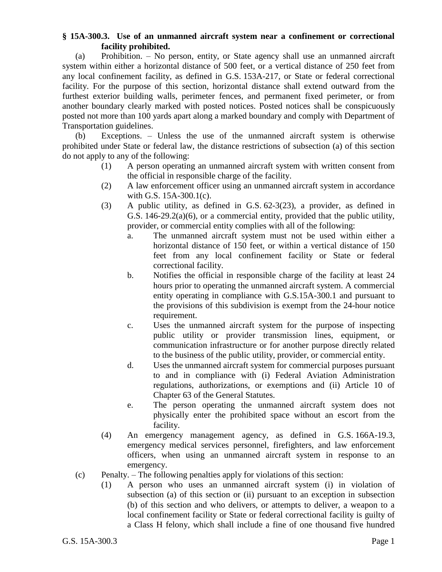## **§ 15A-300.3. Use of an unmanned aircraft system near a confinement or correctional facility prohibited.**

(a) Prohibition. – No person, entity, or State agency shall use an unmanned aircraft system within either a horizontal distance of 500 feet, or a vertical distance of 250 feet from any local confinement facility, as defined in G.S. 153A-217, or State or federal correctional facility. For the purpose of this section, horizontal distance shall extend outward from the furthest exterior building walls, perimeter fences, and permanent fixed perimeter, or from another boundary clearly marked with posted notices. Posted notices shall be conspicuously posted not more than 100 yards apart along a marked boundary and comply with Department of Transportation guidelines.

(b) Exceptions. – Unless the use of the unmanned aircraft system is otherwise prohibited under State or federal law, the distance restrictions of subsection (a) of this section do not apply to any of the following:

- (1) A person operating an unmanned aircraft system with written consent from the official in responsible charge of the facility.
- (2) A law enforcement officer using an unmanned aircraft system in accordance with G.S. 15A-300.1(c).
- (3) A public utility, as defined in G.S. 62-3(23), a provider, as defined in G.S. 146-29.2(a)(6), or a commercial entity, provided that the public utility, provider, or commercial entity complies with all of the following:
	- a. The unmanned aircraft system must not be used within either a horizontal distance of 150 feet, or within a vertical distance of 150 feet from any local confinement facility or State or federal correctional facility.
	- b. Notifies the official in responsible charge of the facility at least 24 hours prior to operating the unmanned aircraft system. A commercial entity operating in compliance with G.S.15A-300.1 and pursuant to the provisions of this subdivision is exempt from the 24-hour notice requirement.
	- c. Uses the unmanned aircraft system for the purpose of inspecting public utility or provider transmission lines, equipment, or communication infrastructure or for another purpose directly related to the business of the public utility, provider, or commercial entity.
	- d. Uses the unmanned aircraft system for commercial purposes pursuant to and in compliance with (i) Federal Aviation Administration regulations, authorizations, or exemptions and (ii) Article 10 of Chapter 63 of the General Statutes.
	- e. The person operating the unmanned aircraft system does not physically enter the prohibited space without an escort from the facility.
- (4) An emergency management agency, as defined in G.S. 166A-19.3, emergency medical services personnel, firefighters, and law enforcement officers, when using an unmanned aircraft system in response to an emergency.
- (c) Penalty. The following penalties apply for violations of this section:
	- (1) A person who uses an unmanned aircraft system (i) in violation of subsection (a) of this section or (ii) pursuant to an exception in subsection (b) of this section and who delivers, or attempts to deliver, a weapon to a local confinement facility or State or federal correctional facility is guilty of a Class H felony, which shall include a fine of one thousand five hundred

G.S. 15A-300.3 Page 1